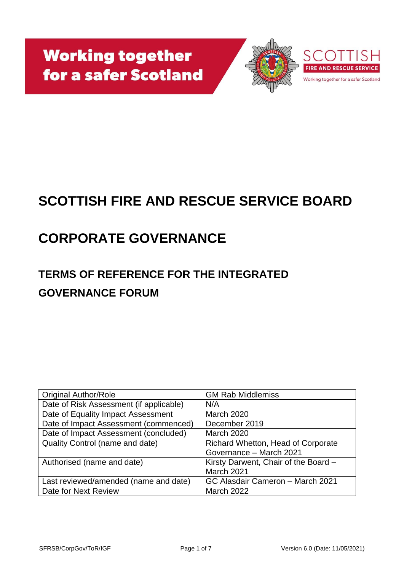**Working together** for a safer Scotland



# **SCOTTISH FIRE AND RESCUE SERVICE BOARD**

# **CORPORATE GOVERNANCE**

## **TERMS OF REFERENCE FOR THE INTEGRATED GOVERNANCE FORUM**

| <b>Original Author/Role</b>             | <b>GM Rab Middlemiss</b>             |
|-----------------------------------------|--------------------------------------|
| Date of Risk Assessment (if applicable) | N/A                                  |
| Date of Equality Impact Assessment      | <b>March 2020</b>                    |
| Date of Impact Assessment (commenced)   | December 2019                        |
| Date of Impact Assessment (concluded)   | <b>March 2020</b>                    |
| Quality Control (name and date)         | Richard Whetton, Head of Corporate   |
|                                         | Governance - March 2021              |
| Authorised (name and date)              | Kirsty Darwent, Chair of the Board - |
|                                         | March 2021                           |
| Last reviewed/amended (name and date)   | GC Alasdair Cameron - March 2021     |
| Date for Next Review                    | <b>March 2022</b>                    |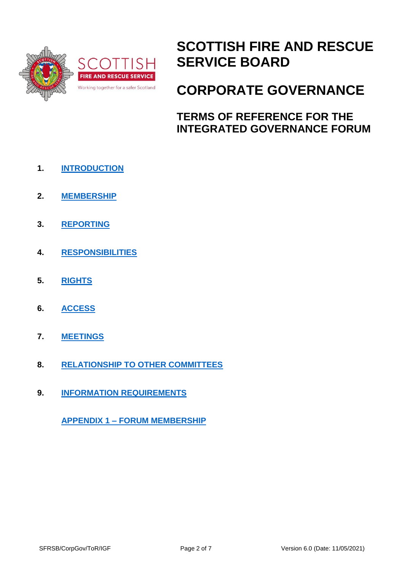

## **SCOTTISH FIRE AND RESCUE SERVICE BOARD**

## **CORPORATE GOVERNANCE**

**TERMS OF REFERENCE FOR THE INTEGRATED GOVERNANCE FORUM**

- **1. [INTRODUCTION](#page-2-0)**
- **2. [MEMBERSHIP](#page-2-1)**
- **3. [REPORTING](#page-3-0)**
- **4. [RESPONSIBILITIES](#page-3-1)**
- **5. [RIGHTS](#page-4-0)**
- **6. [ACCESS](#page-4-1)**
- **7. [MEETINGS](#page-4-2)**
- **8. [RELATIONSHIP TO OTHER COMMITTEES](#page-5-0)**
- **9. [INFORMATION REQUIREMENTS](#page-5-1)**

**APPENDIX 1 – [FORUM MEMBERSHIP](#page-6-0)**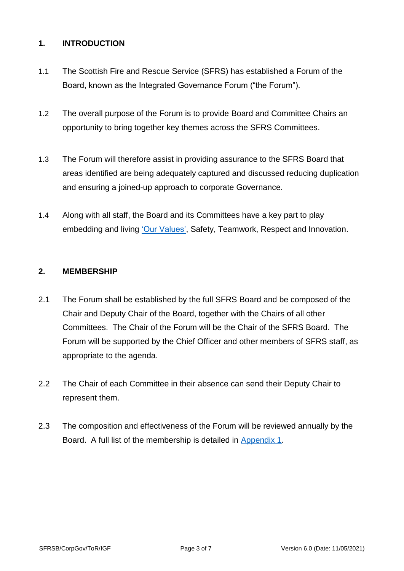## <span id="page-2-0"></span>**1. INTRODUCTION**

- 1.1 The Scottish Fire and Rescue Service (SFRS) has established a Forum of the Board, known as the Integrated Governance Forum ("the Forum").
- 1.2 The overall purpose of the Forum is to provide Board and Committee Chairs an opportunity to bring together key themes across the SFRS Committees.
- 1.3 The Forum will therefore assist in providing assurance to the SFRS Board that areas identified are being adequately captured and discussed reducing duplication and ensuring a joined-up approach to corporate Governance.
- 1.4 Along with all staff, the Board and its Committees have a key part to play embedding and living ['Our Values',](https://www.firescotland.gov.uk/media/1225253/sfrs_values_framework.pdf) Safety, Teamwork, Respect and Innovation.

### <span id="page-2-1"></span>**2. MEMBERSHIP**

- 2.1 The Forum shall be established by the full SFRS Board and be composed of the Chair and Deputy Chair of the Board, together with the Chairs of all other Committees. The Chair of the Forum will be the Chair of the SFRS Board. The Forum will be supported by the Chief Officer and other members of SFRS staff, as appropriate to the agenda.
- 2.2 The Chair of each Committee in their absence can send their Deputy Chair to represent them.
- 2.3 The composition and effectiveness of the Forum will be reviewed annually by the Board. A full list of the membership is detailed in [Appendix 1.](#page-6-0)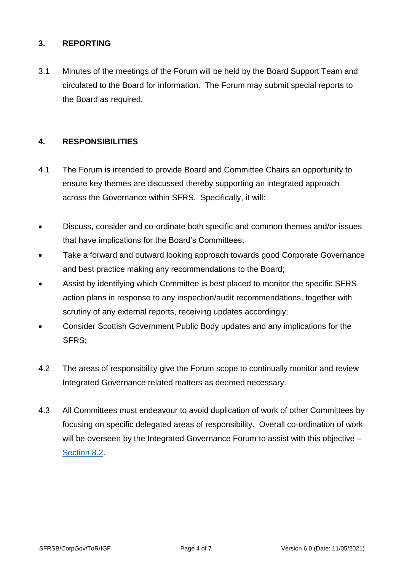## <span id="page-3-0"></span>**3. REPORTING**

3.1 Minutes of the meetings of the Forum will be held by the Board Support Team and circulated to the Board for information. The Forum may submit special reports to the Board as required.

## <span id="page-3-1"></span>**4. RESPONSIBILITIES**

- 4.1 The Forum is intended to provide Board and Committee Chairs an opportunity to ensure key themes are discussed thereby supporting an integrated approach across the Governance within SFRS. Specifically, it will:
- Discuss, consider and co-ordinate both specific and common themes and/or issues that have implications for the Board's Committees;
- Take a forward and outward looking approach towards good Corporate Governance and best practice making any recommendations to the Board;
- Assist by identifying which Committee is best placed to monitor the specific SFRS action plans in response to any inspection/audit recommendations, together with scrutiny of any external reports, receiving updates accordingly;
- Consider Scottish Government Public Body updates and any implications for the SFRS;
- 4.2 The areas of responsibility give the Forum scope to continually monitor and review Integrated Governance related matters as deemed necessary.
- 4.3 All Committees must endeavour to avoid duplication of work of other Committees by focusing on specific delegated areas of responsibility. Overall co-ordination of work will be overseen by the Integrated Governance Forum to assist with this objective – [Section 8.2.](#page-5-2)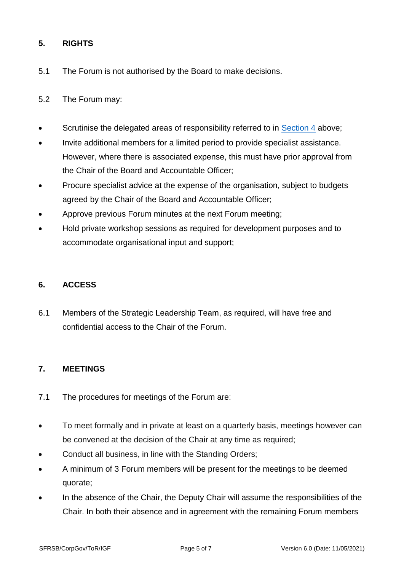## <span id="page-4-0"></span>**5. RIGHTS**

- 5.1 The Forum is not authorised by the Board to make decisions.
- 5.2 The Forum may:
- Scrutinise the delegated areas of responsibility referred to in [Section 4](#page-3-1) above;
- Invite additional members for a limited period to provide specialist assistance. However, where there is associated expense, this must have prior approval from the Chair of the Board and Accountable Officer;
- Procure specialist advice at the expense of the organisation, subject to budgets agreed by the Chair of the Board and Accountable Officer;
- Approve previous Forum minutes at the next Forum meeting;
- Hold private workshop sessions as required for development purposes and to accommodate organisational input and support;

## <span id="page-4-1"></span>**6. ACCESS**

6.1 Members of the Strategic Leadership Team, as required, will have free and confidential access to the Chair of the Forum.

## <span id="page-4-2"></span>**7. MEETINGS**

- 7.1 The procedures for meetings of the Forum are:
- To meet formally and in private at least on a quarterly basis, meetings however can be convened at the decision of the Chair at any time as required;
- Conduct all business, in line with the Standing Orders;
- A minimum of 3 Forum members will be present for the meetings to be deemed quorate;
- In the absence of the Chair, the Deputy Chair will assume the responsibilities of the Chair. In both their absence and in agreement with the remaining Forum members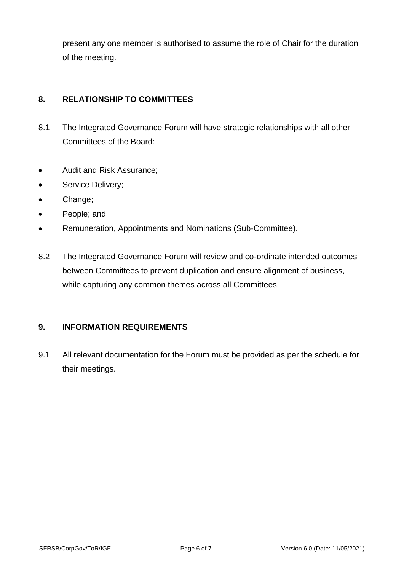present any one member is authorised to assume the role of Chair for the duration of the meeting.

## <span id="page-5-0"></span>**8. RELATIONSHIP TO COMMITTEES**

- 8.1 The Integrated Governance Forum will have strategic relationships with all other Committees of the Board:
- Audit and Risk Assurance;
- Service Delivery;
- Change;
- People; and
- Remuneration, Appointments and Nominations (Sub-Committee).
- <span id="page-5-2"></span>8.2 The Integrated Governance Forum will review and co-ordinate intended outcomes between Committees to prevent duplication and ensure alignment of business, while capturing any common themes across all Committees.

#### <span id="page-5-1"></span>**9. INFORMATION REQUIREMENTS**

9.1 All relevant documentation for the Forum must be provided as per the schedule for their meetings.